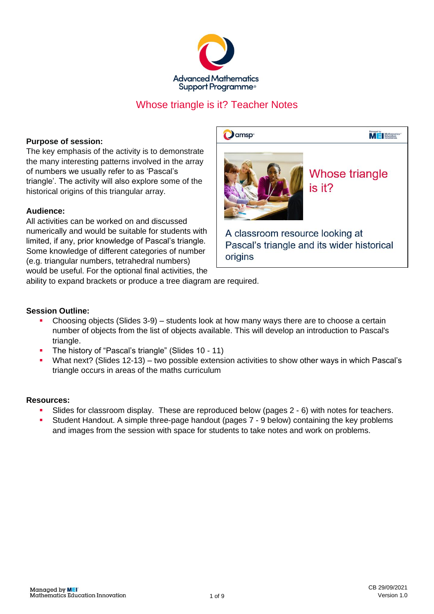

# Whose triangle is it? Teacher Notes

**D**amsp<sup>®</sup>

## **Purpose of session:**

The key emphasis of the activity is to demonstrate the many interesting patterns involved in the array of numbers we usually refer to as 'Pascal's triangle'. The activity will also explore some of the historical origins of this triangular array.

## **Audience:**

All activities can be worked on and discussed numerically and would be suitable for students with limited, if any, prior knowledge of Pascal's triangle. Some knowledge of different categories of number (e.g. triangular numbers, tetrahedral numbers) would be useful. For the optional final activities, the



**Whose triangle** is it?

Managed by<br> **Mathematics**<br> **Mathematics** 

A classroom resource looking at Pascal's triangle and its wider historical origins

ability to expand brackets or produce a tree diagram are required.

#### **Session Outline:**

- Choosing objects (Slides 3-9) students look at how many ways there are to choose a certain number of objects from the list of objects available. This will develop an introduction to Pascal's triangle.
- The history of "Pascal's triangle" (Slides 10 11)
- What next? (Slides 12-13) two possible extension activities to show other ways in which Pascal's triangle occurs in areas of the maths curriculum

#### **Resources:**

- Slides for classroom display. These are reproduced below (pages 2 6) with notes for teachers.
- Student Handout. A simple three-page handout (pages 7 9 below) containing the key problems and images from the session with space for students to take notes and work on problems.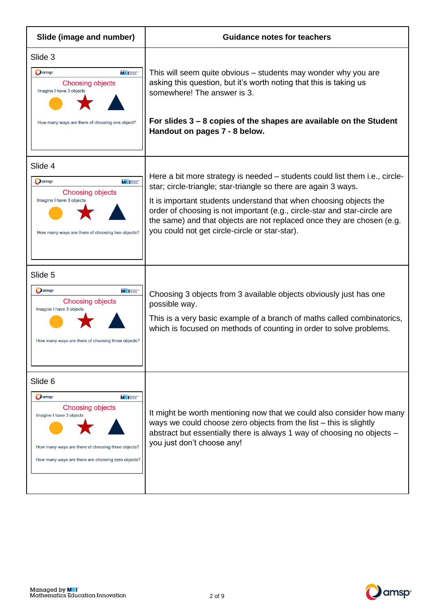| Slide (image and number)                                                                                                                                                                                               | <b>Guidance notes for teachers</b>                                                                                                                                                                                                                                                                                                                                                                                            |
|------------------------------------------------------------------------------------------------------------------------------------------------------------------------------------------------------------------------|-------------------------------------------------------------------------------------------------------------------------------------------------------------------------------------------------------------------------------------------------------------------------------------------------------------------------------------------------------------------------------------------------------------------------------|
| Slide 3<br>Oamsp <sup>®</sup><br>$M = 1$<br><b>Choosing objects</b><br>Imagine I have 3 objects<br>How many ways are there of choosing one object?                                                                     | This will seem quite obvious – students may wonder why you are<br>asking this question, but it's worth noting that this is taking us<br>somewhere! The answer is 3.<br>For slides 3 – 8 copies of the shapes are available on the Student<br>Handout on pages 7 - 8 below.                                                                                                                                                    |
| Slide 4<br>Oamsp <sup>-</sup><br><b>M E</b> Mothernotic<br><b>Choosing objects</b><br>Imagine I have 3 objects<br>How many ways are there of choosing two objects?                                                     | Here a bit more strategy is needed – students could list them i.e., circle-<br>star; circle-triangle; star-triangle so there are again 3 ways.<br>It is important students understand that when choosing objects the<br>order of choosing is not important (e.g., circle-star and star-circle are<br>the same) and that objects are not replaced once they are chosen (e.g.<br>you could not get circle-circle or star-star). |
| Slide 5<br>Oamsp <sup>®</sup><br>$M$ $\equiv$ $\frac{1}{2}$ Maximum of the $\frac{1}{2}$<br><b>Choosing objects</b><br>Imagine I have 3 objects<br>How many ways are there of choosing three objects?                  | Choosing 3 objects from 3 available objects obviously just has one<br>possible way.<br>This is a very basic example of a branch of maths called combinatorics,<br>which is focused on methods of counting in order to solve problems.                                                                                                                                                                                         |
| Slide 6<br><b>D</b> amsp <sup>®</sup><br>ME Baseman<br><b>Choosing objects</b><br>Imagine I have 3 objects<br>How many ways are there of choosing three objects?<br>How many ways are there are choosing zero objects? | It might be worth mentioning now that we could also consider how many<br>ways we could choose zero objects from the list - this is slightly<br>abstract but essentially there is always 1 way of choosing no objects -<br>you just don't choose any!                                                                                                                                                                          |

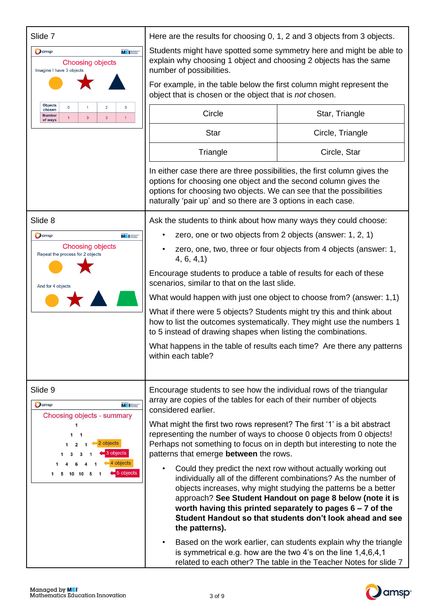| Slide 7                                                                                                                                                                                                                                                                                                      | Here are the results for choosing 0, 1, 2 and 3 objects from 3 objects.                                                                                                                                                                                                                                 |                                                                                                                                                                                                                                                                                                                                                                                              |  |  |
|--------------------------------------------------------------------------------------------------------------------------------------------------------------------------------------------------------------------------------------------------------------------------------------------------------------|---------------------------------------------------------------------------------------------------------------------------------------------------------------------------------------------------------------------------------------------------------------------------------------------------------|----------------------------------------------------------------------------------------------------------------------------------------------------------------------------------------------------------------------------------------------------------------------------------------------------------------------------------------------------------------------------------------------|--|--|
| O amsp <sup>®</sup><br>$M = \frac{M_{\text{eff}}}{M_{\text{eff}}}\frac{M_{\text{eff}}}{M_{\text{eff}}}$<br><b>Choosing objects</b><br>Imagine I have 3 objects<br>Objects<br>$\mathbf 0$<br>2<br>3<br>chosen<br><b>Number</b><br>$\mathbf{1}$<br>$\overline{3}$<br>$\overline{3}$<br>$\mathbf{1}$<br>of ways | Students might have spotted some symmetry here and might be able to<br>explain why choosing 1 object and choosing 2 objects has the same<br>number of possibilities.<br>For example, in the table below the first column might represent the<br>object that is chosen or the object that is not chosen. |                                                                                                                                                                                                                                                                                                                                                                                              |  |  |
|                                                                                                                                                                                                                                                                                                              | Circle<br>Star, Triangle                                                                                                                                                                                                                                                                                |                                                                                                                                                                                                                                                                                                                                                                                              |  |  |
|                                                                                                                                                                                                                                                                                                              | <b>Star</b>                                                                                                                                                                                                                                                                                             | Circle, Triangle                                                                                                                                                                                                                                                                                                                                                                             |  |  |
|                                                                                                                                                                                                                                                                                                              | Triangle                                                                                                                                                                                                                                                                                                | Circle, Star                                                                                                                                                                                                                                                                                                                                                                                 |  |  |
|                                                                                                                                                                                                                                                                                                              | In either case there are three possibilities, the first column gives the<br>options for choosing one object and the second column gives the<br>options for choosing two objects. We can see that the possibilities<br>naturally 'pair up' and so there are 3 options in each case.                      |                                                                                                                                                                                                                                                                                                                                                                                              |  |  |
| Slide 8                                                                                                                                                                                                                                                                                                      | Ask the students to think about how many ways they could choose:                                                                                                                                                                                                                                        |                                                                                                                                                                                                                                                                                                                                                                                              |  |  |
| Oamsp <sup>®</sup><br>$M =$                                                                                                                                                                                                                                                                                  | zero, one or two objects from 2 objects (answer: 1, 2, 1)                                                                                                                                                                                                                                               |                                                                                                                                                                                                                                                                                                                                                                                              |  |  |
| <b>Choosing objects</b><br>Repeat the process for 2 objects<br>And for 4 objects                                                                                                                                                                                                                             | zero, one, two, three or four objects from 4 objects (answer: 1,<br>4, 6, 4, 1)                                                                                                                                                                                                                         |                                                                                                                                                                                                                                                                                                                                                                                              |  |  |
|                                                                                                                                                                                                                                                                                                              | Encourage students to produce a table of results for each of these<br>scenarios, similar to that on the last slide.                                                                                                                                                                                     |                                                                                                                                                                                                                                                                                                                                                                                              |  |  |
|                                                                                                                                                                                                                                                                                                              | What would happen with just one object to choose from? (answer: 1,1)                                                                                                                                                                                                                                    |                                                                                                                                                                                                                                                                                                                                                                                              |  |  |
|                                                                                                                                                                                                                                                                                                              | What if there were 5 objects? Students might try this and think about<br>how to list the outcomes systematically. They might use the numbers 1<br>to 5 instead of drawing shapes when listing the combinations.                                                                                         |                                                                                                                                                                                                                                                                                                                                                                                              |  |  |
|                                                                                                                                                                                                                                                                                                              | What happens in the table of results each time? Are there any patterns<br>within each table?                                                                                                                                                                                                            |                                                                                                                                                                                                                                                                                                                                                                                              |  |  |
| Slide 9<br>O amsp <sup>®</sup><br>$M =$<br>Choosing objects - summary<br>1<br>2 objects<br>3 objects<br>4 objects<br>5 objects                                                                                                                                                                               | Encourage students to see how the individual rows of the triangular<br>array are copies of the tables for each of their number of objects<br>considered earlier.                                                                                                                                        |                                                                                                                                                                                                                                                                                                                                                                                              |  |  |
|                                                                                                                                                                                                                                                                                                              | What might the first two rows represent? The first '1' is a bit abstract<br>representing the number of ways to choose 0 objects from 0 objects!<br>Perhaps not something to focus on in depth but interesting to note the<br>patterns that emerge between the rows.                                     |                                                                                                                                                                                                                                                                                                                                                                                              |  |  |
|                                                                                                                                                                                                                                                                                                              | the patterns).                                                                                                                                                                                                                                                                                          | Could they predict the next row without actually working out<br>individually all of the different combinations? As the number of<br>objects increases, why might studying the patterns be a better<br>approach? See Student Handout on page 8 below (note it is<br>worth having this printed separately to pages $6 - 7$ of the<br>Student Handout so that students don't look ahead and see |  |  |
|                                                                                                                                                                                                                                                                                                              |                                                                                                                                                                                                                                                                                                         | Based on the work earlier, can students explain why the triangle<br>is symmetrical e.g. how are the two 4's on the line 1,4,6,4,1<br>related to each other? The table in the Teacher Notes for slide 7                                                                                                                                                                                       |  |  |

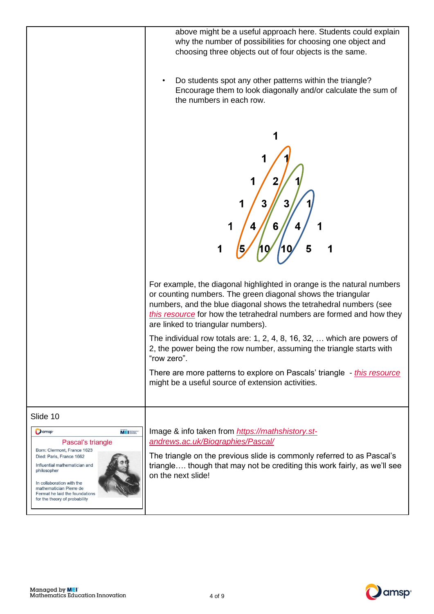

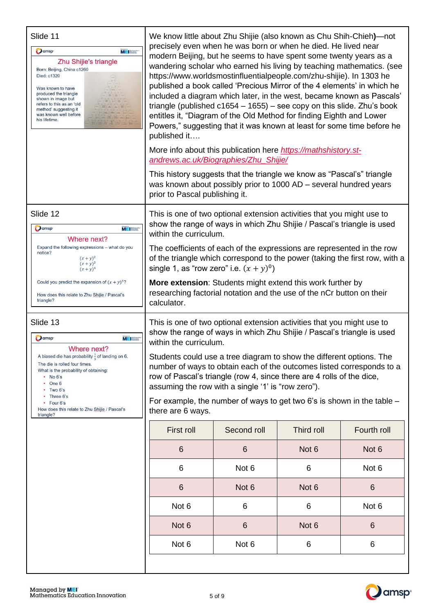| Slide 11<br>Oamsp <sup>®</sup><br>$M = 1$<br>Zhu Shijie's triangle<br>Born: Beijing, China c1260<br>Died: c1320<br>Was known to have<br>produced the triangle<br>shown in image but<br>refers to this as an 'old<br>method' suggesting it<br>was known well before<br>his lifetime.                                                    | We know little about Zhu Shijie (also known as Chu Shih-Chieh)—not<br>precisely even when he was born or when he died. He lived near<br>modern Beijing, but he seems to have spent some twenty years as a<br>wandering scholar who earned his living by teaching mathematics. (see<br>https://www.worldsmostinfluentialpeople.com/zhu-shijie). In 1303 he<br>published a book called 'Precious Mirror of the 4 elements' in which he<br>included a diagram which later, in the west, became known as Pascals'<br>triangle (published $c1654 - 1655$ ) – see copy on this slide. Zhu's book<br>entitles it, "Diagram of the Old Method for finding Eighth and Lower<br>Powers," suggesting that it was known at least for some time before he<br>published it<br>More info about this publication here https://mathshistory.st-<br>andrews.ac.uk/Biographies/Zhu_Shijie/<br>This history suggests that the triangle we know as "Pascal's" triangle<br>was known about possibly prior to 1000 AD - several hundred years |                  |                  |             |
|----------------------------------------------------------------------------------------------------------------------------------------------------------------------------------------------------------------------------------------------------------------------------------------------------------------------------------------|------------------------------------------------------------------------------------------------------------------------------------------------------------------------------------------------------------------------------------------------------------------------------------------------------------------------------------------------------------------------------------------------------------------------------------------------------------------------------------------------------------------------------------------------------------------------------------------------------------------------------------------------------------------------------------------------------------------------------------------------------------------------------------------------------------------------------------------------------------------------------------------------------------------------------------------------------------------------------------------------------------------------|------------------|------------------|-------------|
| Slide 12<br>O amsp <sup>-</sup><br>$M =$<br>Where next?<br>Expand the following expressions - what do you<br>notice?<br>$(x + y)^2$<br>$(x + y)^3$<br>$(x + y)^4$<br>Could you predict the expansion of $(x + y)^5$ ?<br>How does this relate to Zhu Shijie / Pascal's<br>triangle?                                                    | prior to Pascal publishing it.<br>This is one of two optional extension activities that you might use to<br>show the range of ways in which Zhu Shijie / Pascal's triangle is used<br>within the curriculum.<br>The coefficients of each of the expressions are represented in the row<br>of the triangle which correspond to the power (taking the first row, with a<br>single 1, as "row zero" i.e. $(x + y)^0$ )<br>More extension: Students might extend this work further by<br>researching factorial notation and the use of the nCr button on their<br>calculator.                                                                                                                                                                                                                                                                                                                                                                                                                                              |                  |                  |             |
| Slide 13<br>Oamsp <sup>®</sup><br>MEI<br>Where next?<br>A biased die has probability $\frac{1}{5}$ of landing on 6.<br>The die is rolled four times.<br>What is the probability of obtaining:<br>$\cdot$ No 6's<br>$\cdot$ One 6<br>Two 6's<br>• Three 6's<br>• Four 6's<br>How does this relate to Zhu Shijie / Pascal's<br>triangle? | This is one of two optional extension activities that you might use to<br>show the range of ways in which Zhu Shijie / Pascal's triangle is used<br>within the curriculum.<br>Students could use a tree diagram to show the different options. The<br>number of ways to obtain each of the outcomes listed corresponds to a<br>row of Pascal's triangle (row 4, since there are 4 rolls of the dice,<br>assuming the row with a single '1' is "row zero").<br>For example, the number of ways to get two 6's is shown in the table $-$<br>there are 6 ways.                                                                                                                                                                                                                                                                                                                                                                                                                                                            |                  |                  |             |
|                                                                                                                                                                                                                                                                                                                                        | First roll                                                                                                                                                                                                                                                                                                                                                                                                                                                                                                                                                                                                                                                                                                                                                                                                                                                                                                                                                                                                             | Second roll      | Third roll       | Fourth roll |
|                                                                                                                                                                                                                                                                                                                                        | 6                                                                                                                                                                                                                                                                                                                                                                                                                                                                                                                                                                                                                                                                                                                                                                                                                                                                                                                                                                                                                      | 6                | Not <sub>6</sub> | Not 6       |
|                                                                                                                                                                                                                                                                                                                                        | 6                                                                                                                                                                                                                                                                                                                                                                                                                                                                                                                                                                                                                                                                                                                                                                                                                                                                                                                                                                                                                      | Not 6            | 6                | Not 6       |
|                                                                                                                                                                                                                                                                                                                                        | 6                                                                                                                                                                                                                                                                                                                                                                                                                                                                                                                                                                                                                                                                                                                                                                                                                                                                                                                                                                                                                      | Not <sub>6</sub> | Not <sub>6</sub> | 6           |
|                                                                                                                                                                                                                                                                                                                                        | Not 6                                                                                                                                                                                                                                                                                                                                                                                                                                                                                                                                                                                                                                                                                                                                                                                                                                                                                                                                                                                                                  | 6                | 6                | Not 6       |
|                                                                                                                                                                                                                                                                                                                                        | Not 6                                                                                                                                                                                                                                                                                                                                                                                                                                                                                                                                                                                                                                                                                                                                                                                                                                                                                                                                                                                                                  | 6                | Not <sub>6</sub> | 6           |
|                                                                                                                                                                                                                                                                                                                                        | Not 6                                                                                                                                                                                                                                                                                                                                                                                                                                                                                                                                                                                                                                                                                                                                                                                                                                                                                                                                                                                                                  | Not 6            | 6                | 6           |
|                                                                                                                                                                                                                                                                                                                                        |                                                                                                                                                                                                                                                                                                                                                                                                                                                                                                                                                                                                                                                                                                                                                                                                                                                                                                                                                                                                                        |                  |                  |             |

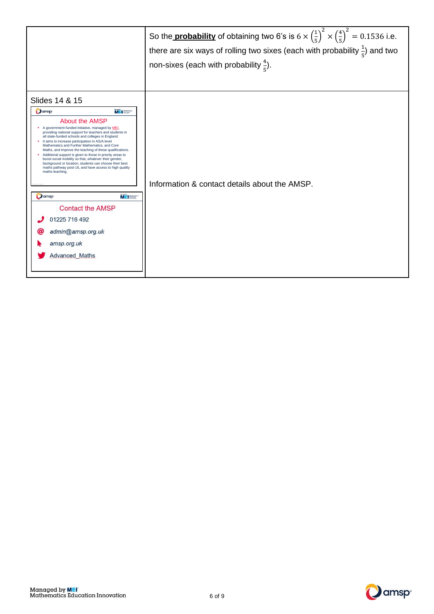|                                                                                                                                                                                                                                                                                                                                                                                                                                                                                                                                                                                                                                                                                                                                                                                                                                 | So the <b>probability</b> of obtaining two 6's is $6 \times \left(\frac{1}{5}\right)^2 \times \left(\frac{4}{5}\right)^2 = 0.1536$ i.e.<br>there are six ways of rolling two sixes (each with probability $\frac{1}{5}$ ) and two<br>non-sixes (each with probability $\frac{4}{5}$ ). |
|---------------------------------------------------------------------------------------------------------------------------------------------------------------------------------------------------------------------------------------------------------------------------------------------------------------------------------------------------------------------------------------------------------------------------------------------------------------------------------------------------------------------------------------------------------------------------------------------------------------------------------------------------------------------------------------------------------------------------------------------------------------------------------------------------------------------------------|----------------------------------------------------------------------------------------------------------------------------------------------------------------------------------------------------------------------------------------------------------------------------------------|
| Slides 14 & 15<br><b>MEISSEN</b><br><b>Damsp</b><br><b>About the AMSP</b><br>• A government-funded initiative, managed by MEI,<br>providing national support for teachers and students in<br>all state-funded schools and colleges in England.<br>• It aims to increase participation in AS/A level<br>Mathematics and Further Mathematics, and Core<br>Maths, and improve the teaching of these qualifications.<br>• Additional support is given to those in priority areas to<br>boost social mobility so that, whatever their gender,<br>background or location, students can choose their best<br>maths pathway post-16, and have access to high quality<br>maths teaching.<br><b>O</b> amsp<br><b>MEISSE</b><br><b>Contact the AMSP</b><br>01225 716 492<br>admin@amsp.org.uk<br>@<br>amsp.org.uk<br><b>Advanced Maths</b> | Information & contact details about the AMSP.                                                                                                                                                                                                                                          |

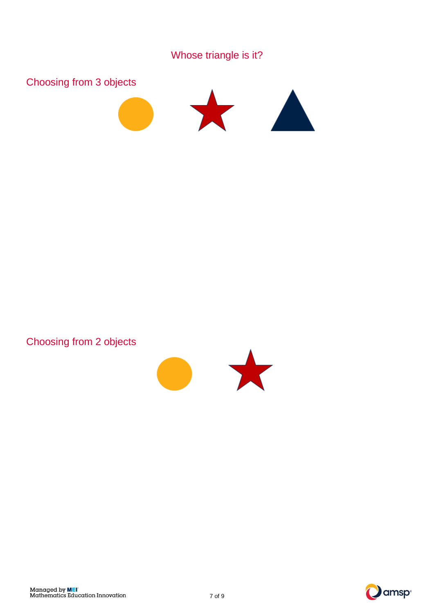





Choosing from 2 objects



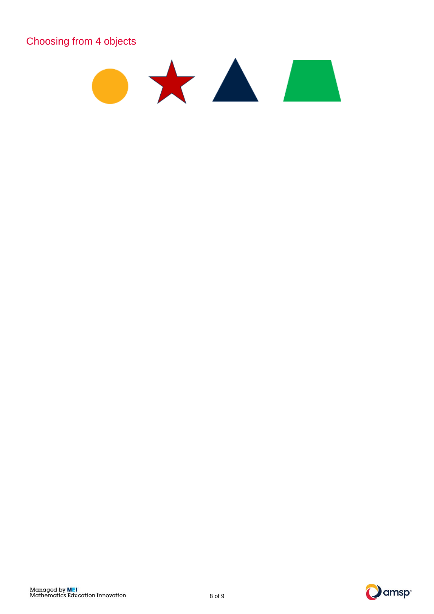Choosing from 4 objects